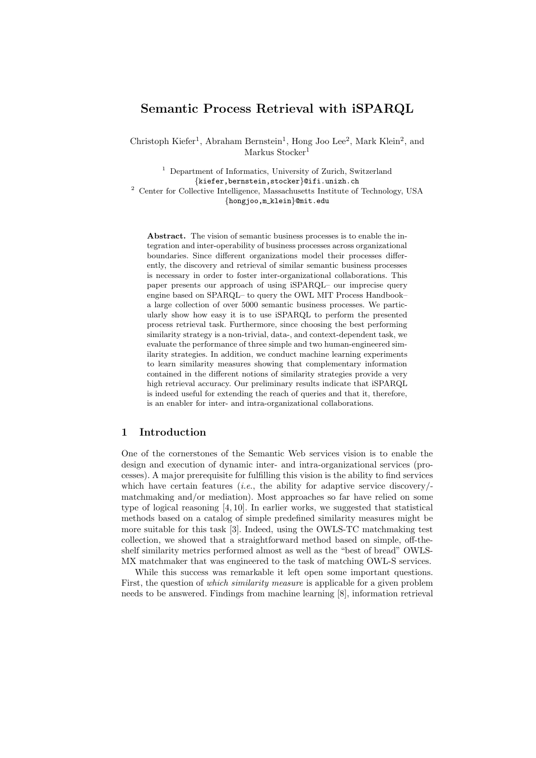# **Semantic Process Retrieval with iSPARQL**

Christoph Kiefer<sup>1</sup>, Abraham Bernstein<sup>1</sup>, Hong Joo Lee<sup>2</sup>, Mark Klein<sup>2</sup>, and Markus Stocker<sup>1</sup>

<sup>1</sup> Department of Informatics, University of Zurich, Switzerland *{*kiefer,bernstein,stocker*}*@ifi.unizh.ch <sup>2</sup> Center for Collective Intelligence, Massachusetts Institute of Technology, USA *{*hongjoo,m klein*}*@mit.edu

**Abstract.** The vision of semantic business processes is to enable the integration and inter-operability of business processes across organizational boundaries. Since different organizations model their processes differently, the discovery and retrieval of similar semantic business processes is necessary in order to foster inter-organizational collaborations. This paper presents our approach of using iSPARQL– our imprecise query engine based on SPARQL– to query the OWL MIT Process Handbook– a large collection of over 5000 semantic business processes. We particularly show how easy it is to use iSPARQL to perform the presented process retrieval task. Furthermore, since choosing the best performing similarity strategy is a non-trivial, data-, and context-dependent task, we evaluate the performance of three simple and two human-engineered similarity strategies. In addition, we conduct machine learning experiments to learn similarity measures showing that complementary information contained in the different notions of similarity strategies provide a very high retrieval accuracy. Our preliminary results indicate that iSPARQL is indeed useful for extending the reach of queries and that it, therefore, is an enabler for inter- and intra-organizational collaborations.

# **1 Introduction**

One of the cornerstones of the Semantic Web services vision is to enable the design and execution of dynamic inter- and intra-organizational services (processes). A major prerequisite for fulfilling this vision is the ability to find services which have certain features *(i.e.*, the ability for adaptive service discovery/matchmaking and/or mediation). Most approaches so far have relied on some type of logical reasoning [4, 10]. In earlier works, we suggested that statistical methods based on a catalog of simple predefined similarity measures might be more suitable for this task [3]. Indeed, using the OWLS-TC matchmaking test collection, we showed that a straightforward method based on simple, off-theshelf similarity metrics performed almost as well as the "best of bread" OWLS-MX matchmaker that was engineered to the task of matching OWL-S services.

While this success was remarkable it left open some important questions. First, the question of *which similarity measure* is applicable for a given problem needs to be answered. Findings from machine learning [8], information retrieval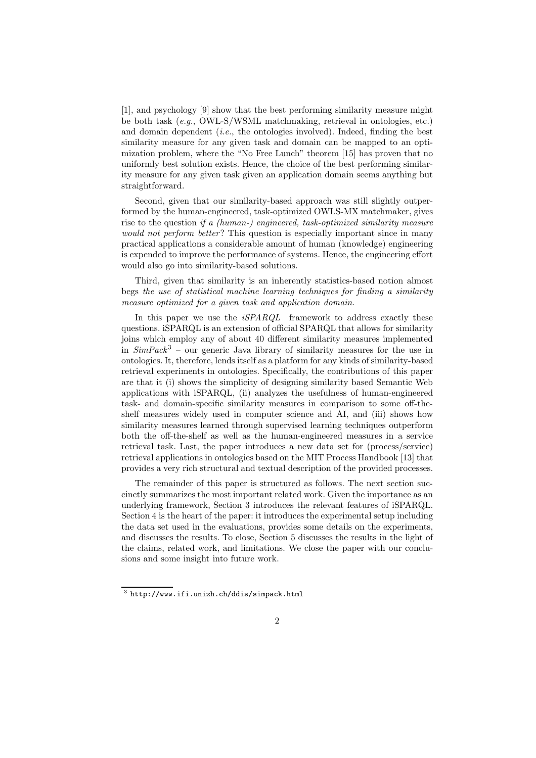[1], and psychology [9] show that the best performing similarity measure might be both task (*e.g.*, OWL-S/WSML matchmaking, retrieval in ontologies, etc.) and domain dependent (*i.e.*, the ontologies involved). Indeed, finding the best similarity measure for any given task and domain can be mapped to an optimization problem, where the "No Free Lunch" theorem [15] has proven that no uniformly best solution exists. Hence, the choice of the best performing similarity measure for any given task given an application domain seems anything but straightforward.

Second, given that our similarity-based approach was still slightly outperformed by the human-engineered, task-optimized OWLS-MX matchmaker, gives rise to the question *if a (human-) engineered, task-optimized similarity measure would not perform better*? This question is especially important since in many practical applications a considerable amount of human (knowledge) engineering is expended to improve the performance of systems. Hence, the engineering effort would also go into similarity-based solutions.

Third, given that similarity is an inherently statistics-based notion almost begs *the use of statistical machine learning techniques for finding a similarity measure optimized for a given task and application domain*.

In this paper we use the *iSPARQL* framework to address exactly these questions. iSPARQL is an extension of official SPARQL that allows for similarity joins which employ any of about 40 different similarity measures implemented in  $SimPack^3$  – our generic Java library of similarity measures for the use in ontologies. It, therefore, lends itself as a platform for any kinds of similarity-based retrieval experiments in ontologies. Specifically, the contributions of this paper are that it (i) shows the simplicity of designing similarity based Semantic Web applications with iSPARQL, (ii) analyzes the usefulness of human-engineered task- and domain-specific similarity measures in comparison to some off-theshelf measures widely used in computer science and AI, and (iii) shows how similarity measures learned through supervised learning techniques outperform both the off-the-shelf as well as the human-engineered measures in a service retrieval task. Last, the paper introduces a new data set for (process/service) retrieval applications in ontologies based on the MIT Process Handbook [13] that provides a very rich structural and textual description of the provided processes.

The remainder of this paper is structured as follows. The next section succinctly summarizes the most important related work. Given the importance as an underlying framework, Section 3 introduces the relevant features of iSPARQL. Section 4 is the heart of the paper: it introduces the experimental setup including the data set used in the evaluations, provides some details on the experiments, and discusses the results. To close, Section 5 discusses the results in the light of the claims, related work, and limitations. We close the paper with our conclusions and some insight into future work.

 $3$  http://www.ifi.unizh.ch/ddis/simpack.html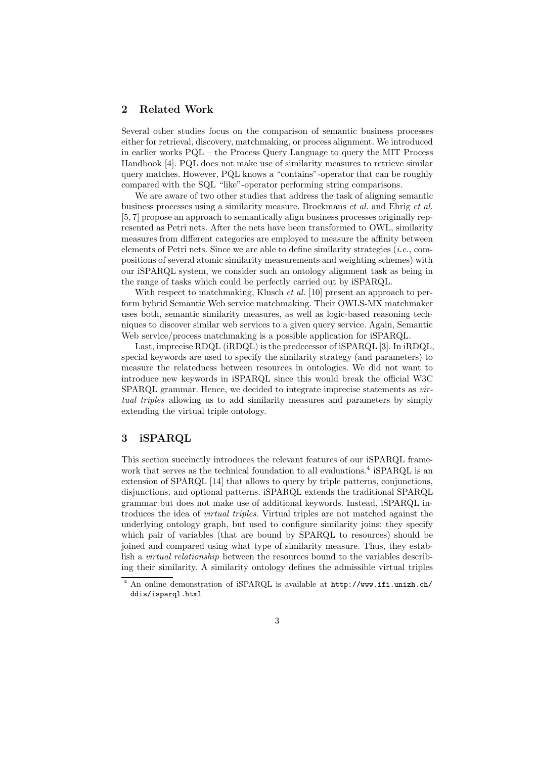## **2 Related Work**

Several other studies focus on the comparison of semantic business processes either for retrieval, discovery, matchmaking, or process alignment. We introduced in earlier works PQL – the Process Query Language to query the MIT Process Handbook [4]. PQL does not make use of similarity measures to retrieve similar query matches. However, PQL knows a "contains"-operator that can be roughly compared with the SQL "like"-operator performing string comparisons.

We are aware of two other studies that address the task of aligning semantic business processes using a similarity measure. Brockmans *et al.* and Ehrig *et al.* [5, 7] propose an approach to semantically align business processes originally represented as Petri nets. After the nets have been transformed to OWL, similarity measures from different categories are employed to measure the affinity between elements of Petri nets. Since we are able to define similarity strategies (*i.e.*, compositions of several atomic similarity measurements and weighting schemes) with our iSPARQL system, we consider such an ontology alignment task as being in the range of tasks which could be perfectly carried out by iSPARQL.

With respect to matchmaking, Klusch *et al.* [10] present an approach to perform hybrid Semantic Web service matchmaking. Their OWLS-MX matchmaker uses both, semantic similarity measures, as well as logic-based reasoning techniques to discover similar web services to a given query service. Again, Semantic Web service/process matchmaking is a possible application for iSPARQL.

Last, imprecise RDQL (iRDQL) is the predecessor of iSPARQL [3]. In iRDQL, special keywords are used to specify the similarity strategy (and parameters) to measure the relatedness between resources in ontologies. We did not want to introduce new keywords in iSPARQL since this would break the official W3C SPARQL grammar. Hence, we decided to integrate imprecise statements as *virtual triples* allowing us to add similarity measures and parameters by simply extending the virtual triple ontology.

# **3 iSPARQL**

This section succinctly introduces the relevant features of our iSPARQL framework that serves as the technical foundation to all evaluations.<sup>4</sup> iSPARQL is an extension of SPARQL [14] that allows to query by triple patterns, conjunctions, disjunctions, and optional patterns. iSPARQL extends the traditional SPARQL grammar but does not make use of additional keywords. Instead, iSPARQL introduces the idea of *virtual triples*. Virtual triples are not matched against the underlying ontology graph, but used to configure similarity joins: they specify which pair of variables (that are bound by SPARQL to resources) should be joined and compared using what type of similarity measure. Thus, they establish a *virtual relationship* between the resources bound to the variables describing their similarity. A similarity ontology defines the admissible virtual triples

<sup>4</sup> An online demonstration of iSPARQL is available at http://www.ifi.unizh.ch/ ddis/isparql.html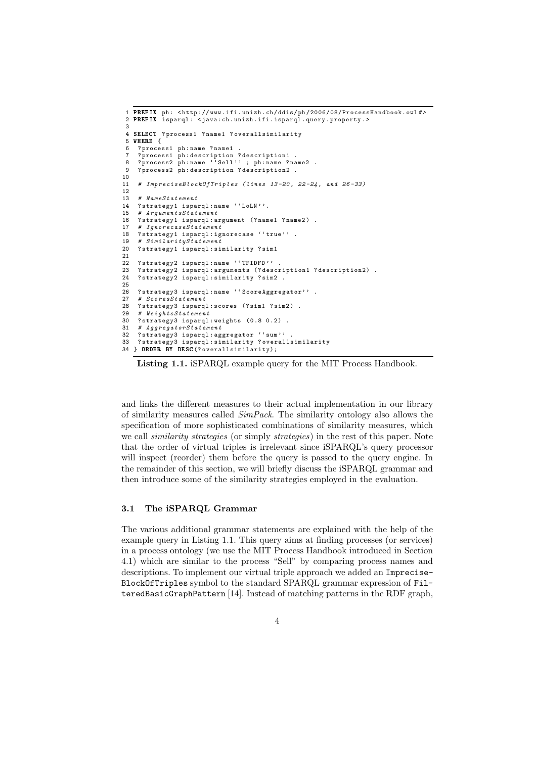```
1 -
 ph: <http://www.ifi.unizh.ch/ddis/ph /2006/08/ProcessHandbook.owl# >
 2 PREFIX isparql: <java:ch.unizh.ifi.isparql.query.property.>
 3<br>4 SELECT ?process1 ?name1 ?overallsimilarity
 5 WHERE {
 6 ?process1 ph:name ?name1<br>7 ?process1 ph:description
 7 ?process1 ph: description ?description1 .
 8 ?process2 ph:name ''Sell'' ; ph:name ?name2 .
9 ?process2 ph: description ?description2 .
\begin{array}{c} 10 \\ 11 \end{array}11 # ImpreciseBlockOfTriples ( lines 13-20, 22-24, and 26-33)
\frac{12}{13}13 # NameStatement
14 ? strategy1 isparql:name ''LoLN''.<br>15 # ArgumentsStatement
15 # ArgumentsStatement
16 ? strategy1 isparql:argument (?name1 ?name2).<br>17 # IgnorecaseStatement
17 # IgnorecaseStatement
18 ? strategy1 isparql: ignorecase '' true'' .<br>19 # SimilarituStatement
19 # SimilarityStatement
    ? strategy1 isparql: similarity ? sim1
\frac{21}{22}22 ? strategy2 isparql:name ''TFIDFD''<br>23 ? strategy2 isparql:arguments (?des
23 ? strategy2 isparql: arguments (?description1 ?description2) .<br>24 ? strategy2 isparql: arguments (?description1 ?description2) .
    ? strategy2 isparql: similarity ? sim2
rac{25}{26}26 ? strategy3 isparql:name '' ScoreAggregator'' .
    27 # ScoresStatement
28 ? strategy3 isparql:scores (? sim1 ? sim2).<br>29 # WeightsStatement
29 # WeightsStatement
30 ? strategy3 isparql: weights (0.8 0.2).
     31 # AggregatorStatement
32 ? strategy3 isparql: aggregator ''sum'' .
33 ? strategy3 isparql: similarity ?overallsimilarity
34 } ORDER BY DESC(?overallsimilarity);
```
**Listing 1.1.** iSPARQL example query for the MIT Process Handbook.

and links the different measures to their actual implementation in our library of similarity measures called *SimPack*. The similarity ontology also allows the specification of more sophisticated combinations of similarity measures, which we call *similarity strategies* (or simply *strategies*) in the rest of this paper. Note that the order of virtual triples is irrelevant since iSPARQL's query processor will inspect (reorder) them before the query is passed to the query engine. In the remainder of this section, we will briefly discuss the iSPARQL grammar and then introduce some of the similarity strategies employed in the evaluation.

### **3.1 The iSPARQL Grammar**

The various additional grammar statements are explained with the help of the example query in Listing 1.1. This query aims at finding processes (or services) in a process ontology (we use the MIT Process Handbook introduced in Section 4.1) which are similar to the process "Sell" by comparing process names and descriptions. To implement our virtual triple approach we added an Imprecise-BlockOfTriples symbol to the standard SPARQL grammar expression of FilteredBasicGraphPattern [14]. Instead of matching patterns in the RDF graph,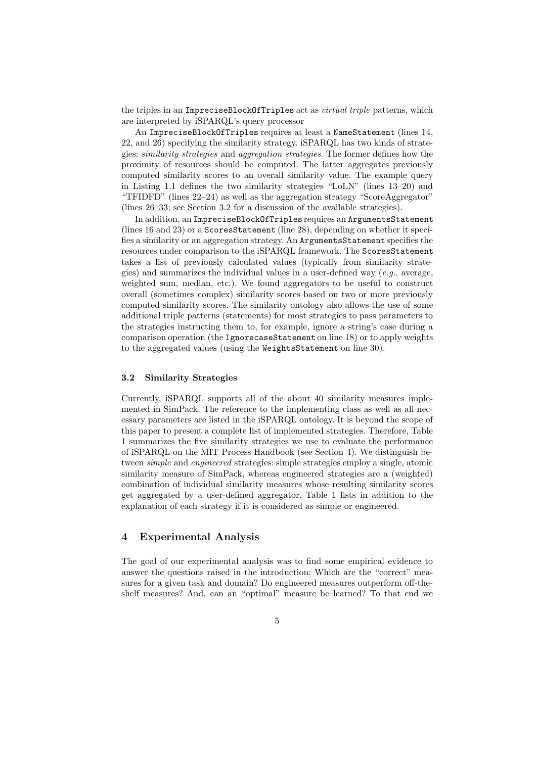the triples in an ImpreciseBlockOfTriples act as *virtual triple* patterns, which are interpreted by iSPARQL's query processor

An ImpreciseBlockOfTriples requires at least a NameStatement (lines 14, 22, and 26) specifying the similarity strategy. iSPARQL has two kinds of strategies: *similarity strategies* and *aggregation strategies*. The former defines how the proximity of resources should be computed. The latter aggregates previously computed similarity scores to an overall similarity value. The example query in Listing 1.1 defines the two similarity strategies "LoLN" (lines 13–20) and "TFIDFD" (lines  $22-24$ ) as well as the aggregation strategy "ScoreAggregator" (lines 26–33; see Section 3.2 for a discussion of the available strategies).

In addition, an ImpreciseBlockOfTriples requires an ArgumentsStatement (lines 16 and 23) or a ScoresStatement (line 28), depending on whether it specifies a similarity or an aggregation strategy. An ArgumentsStatement specifies the resources under comparison to the iSPARQL framework. The ScoresStatement takes a list of previously calculated values (typically from similarity strategies) and summarizes the individual values in a user-defined way (*e.g.*, average, weighted sum, median, etc.). We found aggregators to be useful to construct overall (sometimes complex) similarity scores based on two or more previously computed similarity scores. The similarity ontology also allows the use of some additional triple patterns (statements) for most strategies to pass parameters to the strategies instructing them to, for example, ignore a string's case during a comparison operation (the IgnorecaseStatement on line 18) or to apply weights to the aggregated values (using the WeightsStatement on line 30).

#### **3.2 Similarity Strategies**

Currently, iSPARQL supports all of the about 40 similarity measures implemented in SimPack. The reference to the implementing class as well as all necessary parameters are listed in the iSPARQL ontology. It is beyond the scope of this paper to present a complete list of implemented strategies. Therefore, Table 1 summarizes the five similarity strategies we use to evaluate the performance of iSPARQL on the MIT Process Handbook (see Section 4). We distinguish between *simple* and *engineered* strategies: simple strategies employ a single, atomic similarity measure of SimPack, whereas engineered strategies are a (weighted) combination of individual similarity measures whose resulting similarity scores get aggregated by a user-defined aggregator. Table 1 lists in addition to the explanation of each strategy if it is considered as simple or engineered.

#### **4 Experimental Analysis**

The goal of our experimental analysis was to find some empirical evidence to answer the questions raised in the introduction: Which are the "correct" measures for a given task and domain? Do engineered measures outperform off-theshelf measures? And, can an "optimal" measure be learned? To that end we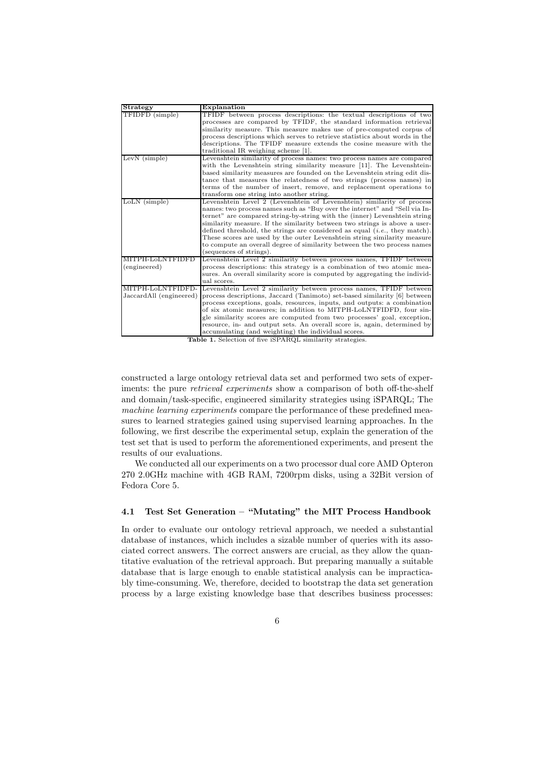| Strategy                | Explanation                                                                                                                                                                                                                                                                                                                                                                                                                                 |
|-------------------------|---------------------------------------------------------------------------------------------------------------------------------------------------------------------------------------------------------------------------------------------------------------------------------------------------------------------------------------------------------------------------------------------------------------------------------------------|
| TFIDFD (simple)         | TFIDF between process descriptions: the textual descriptions of two                                                                                                                                                                                                                                                                                                                                                                         |
|                         | processes are compared by TFIDF, the standard information retrieval                                                                                                                                                                                                                                                                                                                                                                         |
|                         | similarity measure. This measure makes use of pre-computed corpus of                                                                                                                                                                                                                                                                                                                                                                        |
|                         | process descriptions which serves to retrieve statistics about words in the                                                                                                                                                                                                                                                                                                                                                                 |
|                         | descriptions. The TFIDF measure extends the cosine measure with the                                                                                                                                                                                                                                                                                                                                                                         |
|                         | traditional IR weighing scheme [1].                                                                                                                                                                                                                                                                                                                                                                                                         |
| LevN (simple)           | Levenshtein similarity of process names: two process names are compared                                                                                                                                                                                                                                                                                                                                                                     |
|                         | with the Levenshtein string similarity measure [11]. The Levenshtein-                                                                                                                                                                                                                                                                                                                                                                       |
|                         | based similarity measures are founded on the Levenshtein string edit dis-                                                                                                                                                                                                                                                                                                                                                                   |
|                         | tance that measures the relatedness of two strings (process names) in                                                                                                                                                                                                                                                                                                                                                                       |
|                         | terms of the number of insert, remove, and replacement operations to                                                                                                                                                                                                                                                                                                                                                                        |
|                         | transform one string into another string.                                                                                                                                                                                                                                                                                                                                                                                                   |
| LoLN (simple)           | Levenshtein Level 2 (Levenshtein of Levenshtein) similarity of process                                                                                                                                                                                                                                                                                                                                                                      |
|                         | names: two process names such as "Buy over the internet" and "Sell via In-                                                                                                                                                                                                                                                                                                                                                                  |
|                         | ternet" are compared string-by-string with the (inner) Levenshtein string                                                                                                                                                                                                                                                                                                                                                                   |
|                         | similarity measure. If the similarity between two strings is above a user-                                                                                                                                                                                                                                                                                                                                                                  |
|                         | defined threshold, the strings are considered as equal $(i.e., they match).$                                                                                                                                                                                                                                                                                                                                                                |
|                         | These scores are used by the outer Levenshtein string similarity measure                                                                                                                                                                                                                                                                                                                                                                    |
|                         | to compute an overall degree of similarity between the two process names                                                                                                                                                                                                                                                                                                                                                                    |
|                         | (sequences of strings).                                                                                                                                                                                                                                                                                                                                                                                                                     |
| MITPH-LoLNTFIDFD        | Levenshtein Level 2 similarity between process names, TFIDF between                                                                                                                                                                                                                                                                                                                                                                         |
| (engineered)            | process descriptions: this strategy is a combination of two atomic mea-                                                                                                                                                                                                                                                                                                                                                                     |
|                         | sures. An overall similarity score is computed by aggregating the individ-                                                                                                                                                                                                                                                                                                                                                                  |
|                         | ual scores.                                                                                                                                                                                                                                                                                                                                                                                                                                 |
| MITPH-LOLNTFIDFD-       | Levenshtein Level 2 similarity between process names, TFIDF between                                                                                                                                                                                                                                                                                                                                                                         |
| JaccardAll (engineered) | process descriptions, Jaccard (Tanimoto) set-based similarity [6] between                                                                                                                                                                                                                                                                                                                                                                   |
|                         | process exceptions, goals, resources, inputs, and outputs: a combination                                                                                                                                                                                                                                                                                                                                                                    |
|                         | of six atomic measures; in addition to MITPH-LoLNTFIDFD, four sin-                                                                                                                                                                                                                                                                                                                                                                          |
|                         | gle similarity scores are computed from two processes' goal, exception,                                                                                                                                                                                                                                                                                                                                                                     |
|                         | resource, in- and output sets. An overall score is, again, determined by                                                                                                                                                                                                                                                                                                                                                                    |
|                         | accumulating (and weighting) the individual scores.<br>$\overline{c}$ $\overline{c}$ $\overline{c}$ $\overline{c}$ $\overline{c}$ $\overline{c}$ $\overline{c}$ $\overline{c}$ $\overline{c}$ $\overline{c}$ $\overline{c}$ $\overline{c}$ $\overline{c}$ $\overline{c}$ $\overline{c}$ $\overline{c}$ $\overline{c}$ $\overline{c}$ $\overline{c}$ $\overline{c}$ $\overline{c}$ $\overline{c}$ $\overline{c}$ $\overline{c}$ $\overline{$ |

**Table 1.** Selection of five iSPARQL similarity strategies.

constructed a large ontology retrieval data set and performed two sets of experiments: the pure *retrieval experiments* show a comparison of both off-the-shelf and domain/task-specific, engineered similarity strategies using iSPARQL; The *machine learning experiments* compare the performance of these predefined measures to learned strategies gained using supervised learning approaches. In the following, we first describe the experimental setup, explain the generation of the test set that is used to perform the aforementioned experiments, and present the results of our evaluations.

We conducted all our experiments on a two processor dual core AMD Opteron 270 2.0GHz machine with 4GB RAM, 7200rpm disks, using a 32Bit version of Fedora Core 5.

### **4.1 Test Set Generation – "Mutating" the MIT Process Handbook**

In order to evaluate our ontology retrieval approach, we needed a substantial database of instances, which includes a sizable number of queries with its associated correct answers. The correct answers are crucial, as they allow the quantitative evaluation of the retrieval approach. But preparing manually a suitable database that is large enough to enable statistical analysis can be impracticably time-consuming. We, therefore, decided to bootstrap the data set generation process by a large existing knowledge base that describes business processes: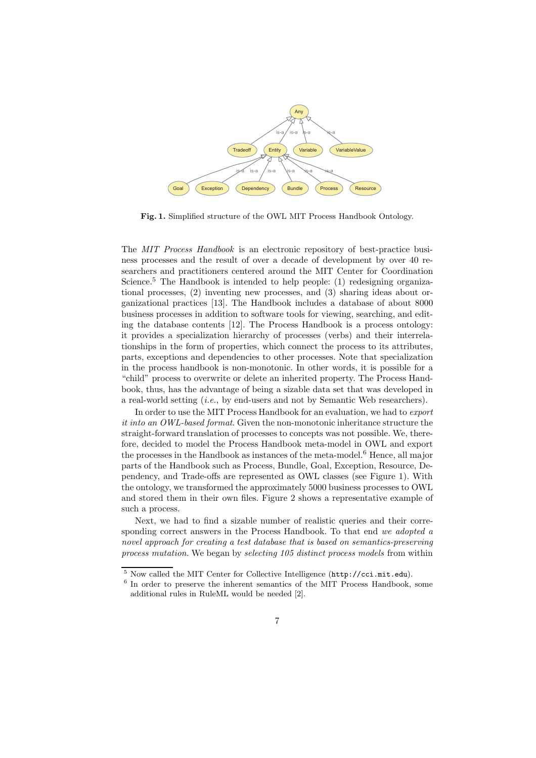

**Fig. 1.** Simplified structure of the OWL MIT Process Handbook Ontology.

The *MIT Process Handbook* is an electronic repository of best-practice business processes and the result of over a decade of development by over 40 researchers and practitioners centered around the MIT Center for Coordination Science.<sup>5</sup> The Handbook is intended to help people: (1) redesigning organizational processes, (2) inventing new processes, and (3) sharing ideas about organizational practices [13]. The Handbook includes a database of about 8000 business processes in addition to software tools for viewing, searching, and editing the database contents [12]. The Process Handbook is a process ontology: it provides a specialization hierarchy of processes (verbs) and their interrelationships in the form of properties, which connect the process to its attributes, parts, exceptions and dependencies to other processes. Note that specialization in the process handbook is non-monotonic. In other words, it is possible for a "child" process to overwrite or delete an inherited property. The Process Handbook, thus, has the advantage of being a sizable data set that was developed in a real-world setting (*i.e.*, by end-users and not by Semantic Web researchers).

In order to use the MIT Process Handbook for an evaluation, we had to *export it into an OWL-based format*. Given the non-monotonic inheritance structure the straight-forward translation of processes to concepts was not possible. We, therefore, decided to model the Process Handbook meta-model in OWL and export the processes in the Handbook as instances of the meta-model.<sup>6</sup> Hence, all major parts of the Handbook such as Process, Bundle, Goal, Exception, Resource, Dependency, and Trade-offs are represented as OWL classes (see Figure 1). With the ontology, we transformed the approximately 5000 business processes to OWL and stored them in their own files. Figure 2 shows a representative example of such a process.

Next, we had to find a sizable number of realistic queries and their corresponding correct answers in the Process Handbook. To that end *we adopted a novel approach for creating a test database that is based on semantics-preserving process mutation*. We began by *selecting 105 distinct process models* from within

<sup>5</sup> Now called the MIT Center for Collective Intelligence (http://cci.mit.edu).

<sup>6</sup> In order to preserve the inherent semantics of the MIT Process Handbook, some additional rules in RuleML would be needed [2].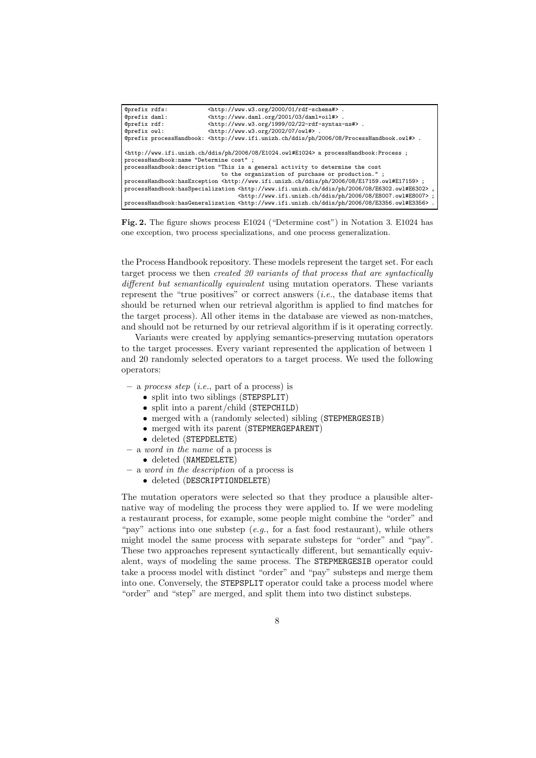| <b>Oprefix rdfs:</b>                                                                                                  | $\text{Khttp://www.w3.org/2000/01/rdf-schemat2}.$                                                                 |  |
|-----------------------------------------------------------------------------------------------------------------------|-------------------------------------------------------------------------------------------------------------------|--|
|                                                                                                                       |                                                                                                                   |  |
| <b>@prefix daml:</b>                                                                                                  | <http: 03="" 2001="" daml+oil#="" www.daml.org=""> .</http:>                                                      |  |
| <b>@prefix rdf:</b>                                                                                                   | <http: 02="" 1999="" 22-rdf-syntax-ns#="" www.w3.org="">.</http:>                                                 |  |
| <b>@prefix owl:</b>                                                                                                   | $\frac{\text{tht}}{\text{t}}$ //www.w3.org/2002/07/owl#>.                                                         |  |
|                                                                                                                       | @prefix processHandbook: <http: 08="" 2006="" ddis="" ph="" processhandbook.owl#="" www.ifi.unizh.ch="">.</http:> |  |
|                                                                                                                       |                                                                                                                   |  |
| <http: 08="" 2006="" ddis="" e1024.owl#e1024="" ph="" www.ifi.unizh.ch=""> a processHandbook:Process ;</http:>        |                                                                                                                   |  |
| processHandbook:name "Determine cost" ;                                                                               |                                                                                                                   |  |
| processHandbook: description "This is a general activity to determine the cost                                        |                                                                                                                   |  |
| to the organization of purchase or production." ;                                                                     |                                                                                                                   |  |
| processHandbook:hasException <http: 08="" 2006="" ddis="" e17159.owl#e17159="" ph="" www.ifi.unizh.ch="">;</http:>    |                                                                                                                   |  |
| processHandbook:hasSpecialization <http: 08="" 2006="" ddis="" e6302.owl#e6302="" ph="" www.ifi.unizh.ch="">,</http:> |                                                                                                                   |  |
|                                                                                                                       | <http: 08="" 2006="" ddis="" e8007.owl#e8007="" ph="" www.ifi.unizh.ch="">;</http:>                               |  |
| processHandbook:hasGeneralization <http: 08="" 2006="" ddis="" e3356.owl#e3356="" ph="" www.ifi.unizh.ch="">.</http:> |                                                                                                                   |  |

Fig. 2. The figure shows process E1024 ("Determine cost") in Notation 3. E1024 has one exception, two process specializations, and one process generalization.

the Process Handbook repository. These models represent the target set. For each target process we then *created 20 variants of that process that are syntactically different but semantically equivalent* using mutation operators. These variants represent the "true positives" or correct answers (*i.e.*, the database items that should be returned when our retrieval algorithm is applied to find matches for the target process). All other items in the database are viewed as non-matches, and should not be returned by our retrieval algorithm if is it operating correctly.

Variants were created by applying semantics-preserving mutation operators to the target processes. Every variant represented the application of between 1 and 20 randomly selected operators to a target process. We used the following operators:

- **–** a *process step* (*i.e.*, part of a process) is
	- split into two siblings (STEPSPLIT)
	- split into a parent/child (STEPCHILD)
	- merged with a (randomly selected) sibling (STEPMERGESIB)
	- merged with its parent (STEPMERGEPARENT)
	- deleted (STEPDELETE)
- **–** a *word in the name* of a process is
	- deleted (NAMEDELETE)
- **–** a *word in the description* of a process is
	- deleted (DESCRIPTIONDELETE)

The mutation operators were selected so that they produce a plausible alternative way of modeling the process they were applied to. If we were modeling a restaurant process, for example, some people might combine the "order" and "pay" actions into one substep (*e.g.*, for a fast food restaurant), while others might model the same process with separate substeps for "order" and "pay". These two approaches represent syntactically different, but semantically equivalent, ways of modeling the same process. The STEPMERGESIB operator could take a process model with distinct "order" and "pay" substeps and merge them into one. Conversely, the STEPSPLIT operator could take a process model where "order" and "step" are merged, and split them into two distinct substeps.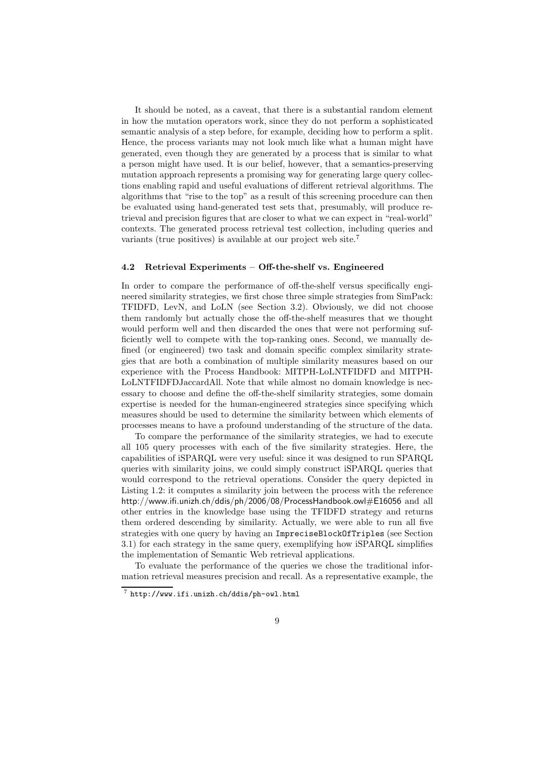It should be noted, as a caveat, that there is a substantial random element in how the mutation operators work, since they do not perform a sophisticated semantic analysis of a step before, for example, deciding how to perform a split. Hence, the process variants may not look much like what a human might have generated, even though they are generated by a process that is similar to what a person might have used. It is our belief, however, that a semantics-preserving mutation approach represents a promising way for generating large query collections enabling rapid and useful evaluations of different retrieval algorithms. The algorithms that "rise to the top" as a result of this screening procedure can then be evaluated using hand-generated test sets that, presumably, will produce retrieval and precision figures that are closer to what we can expect in "real-world" contexts. The generated process retrieval test collection, including queries and variants (true positives) is available at our project web site.<sup>7</sup>

#### **4.2 Retrieval Experiments – Off-the-shelf vs. Engineered**

In order to compare the performance of off-the-shelf versus specifically engineered similarity strategies, we first chose three simple strategies from SimPack: TFIDFD, LevN, and LoLN (see Section 3.2). Obviously, we did not choose them randomly but actually chose the off-the-shelf measures that we thought would perform well and then discarded the ones that were not performing sufficiently well to compete with the top-ranking ones. Second, we manually defined (or engineered) two task and domain specific complex similarity strategies that are both a combination of multiple similarity measures based on our experience with the Process Handbook: MITPH-LoLNTFIDFD and MITPH-LoLNTFIDFDJaccardAll. Note that while almost no domain knowledge is necessary to choose and define the off-the-shelf similarity strategies, some domain expertise is needed for the human-engineered strategies since specifying which measures should be used to determine the similarity between which elements of processes means to have a profound understanding of the structure of the data.

To compare the performance of the similarity strategies, we had to execute all 105 query processes with each of the five similarity strategies. Here, the capabilities of iSPARQL were very useful: since it was designed to run SPARQL queries with similarity joins, we could simply construct iSPARQL queries that would correspond to the retrieval operations. Consider the query depicted in Listing 1.2: it computes a similarity join between the process with the reference http://www.ifi.unizh.ch/ddis/ph/2006/08/ProcessHandbook.owl#E16056 and all other entries in the knowledge base using the TFIDFD strategy and returns them ordered descending by similarity. Actually, we were able to run all five strategies with one query by having an ImpreciseBlockOfTriples (see Section 3.1) for each strategy in the same query, exemplifying how iSPARQL simplifies the implementation of Semantic Web retrieval applications.

To evaluate the performance of the queries we chose the traditional information retrieval measures precision and recall. As a representative example, the

<sup>7</sup> http://www.ifi.unizh.ch/ddis/ph-owl.html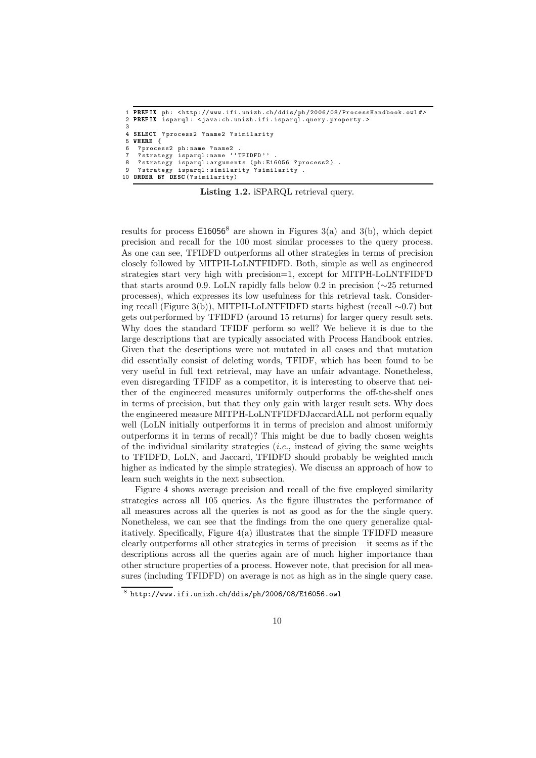```
1 -
 ph: <http://www.ifi.unizh.ch/ddis/ph /2006/08/ProcessHandbook.owl# >
2 PREFIX isparql: <java:ch.unizh.ifi.isparql.query.property.>
3<br>4 SELECT ?process2 ?name2 ?similarity
5 WHERE {
5 WHERE {<br>6   ?process2  ph:name  ?name2  .<br>7   ?strategy  isparql:name  ''TFIDFD''  .
8 ?strategy isparql: arguments (ph: E16056 ?process2).
9 ?strategy isparql: similarity ?similarity .
10 ORDER BY DESC(?similarity)
```
**Listing 1.2.** iSPARQL retrieval query.

results for process  $E16056^8$  are shown in Figures 3(a) and 3(b), which depict precision and recall for the 100 most similar processes to the query process. As one can see, TFIDFD outperforms all other strategies in terms of precision closely followed by MITPH-LoLNTFIDFD. Both, simple as well as engineered strategies start very high with precision=1, except for MITPH-LoLNTFIDFD that starts around 0.9. LoLN rapidly falls below 0.2 in precision (∼25 returned processes), which expresses its low usefulness for this retrieval task. Considering recall (Figure 3(b)), MITPH-LoLNTFIDFD starts highest (recall ∼0.7) but gets outperformed by TFIDFD (around 15 returns) for larger query result sets. Why does the standard TFIDF perform so well? We believe it is due to the large descriptions that are typically associated with Process Handbook entries. Given that the descriptions were not mutated in all cases and that mutation did essentially consist of deleting words, TFIDF, which has been found to be very useful in full text retrieval, may have an unfair advantage. Nonetheless, even disregarding TFIDF as a competitor, it is interesting to observe that neither of the engineered measures uniformly outperforms the off-the-shelf ones in terms of precision, but that they only gain with larger result sets. Why does the engineered measure MITPH-LoLNTFIDFDJaccardALL not perform equally well (LoLN initially outperforms it in terms of precision and almost uniformly outperforms it in terms of recall)? This might be due to badly chosen weights of the individual similarity strategies (*i.e.*, instead of giving the same weights to TFIDFD, LoLN, and Jaccard, TFIDFD should probably be weighted much higher as indicated by the simple strategies). We discuss an approach of how to learn such weights in the next subsection.

Figure 4 shows average precision and recall of the five employed similarity strategies across all 105 queries. As the figure illustrates the performance of all measures across all the queries is not as good as for the the single query. Nonetheless, we can see that the findings from the one query generalize qualitatively. Specifically, Figure 4(a) illustrates that the simple TFIDFD measure clearly outperforms all other strategies in terms of precision – it seems as if the descriptions across all the queries again are of much higher importance than other structure properties of a process. However note, that precision for all measures (including TFIDFD) on average is not as high as in the single query case.

 $8$  http://www.ifi.unizh.ch/ddis/ph/2006/08/E16056.owl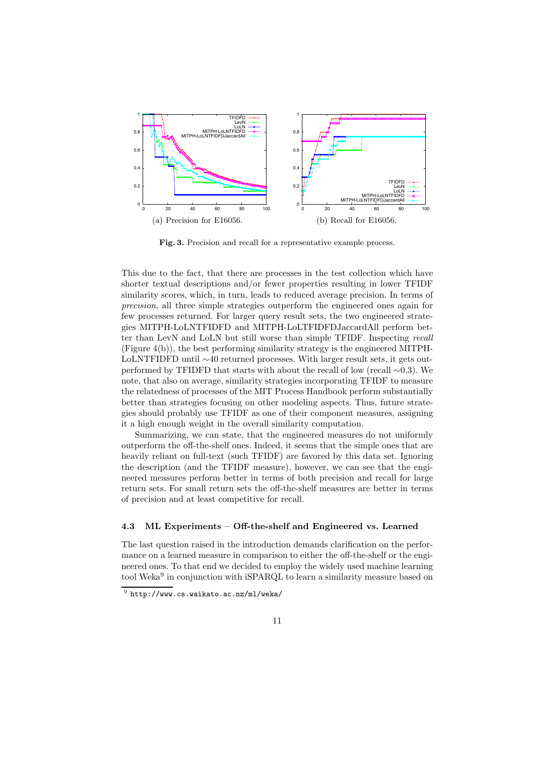

Fig. 3. Precision and recall for a representative example process.

This due to the fact, that there are processes in the test collection which have shorter textual descriptions and/or fewer properties resulting in lower TFIDF similarity scores, which, in turn, leads to reduced average precision. In terms of *precision*, all three simple strategies outperform the engineered ones again for few processes returned. For larger query result sets, the two engineered strategies MITPH-LoLNTFIDFD and MITPH-LoLTFIDFDJaccardAll perform better than LevN and LoLN but still worse than simple TFIDF. Inspecting *recall* (Figure 4(b)), the best performing similarity strategy is the engineered MITPH-LoLNTFIDFD until ∼40 returned processes. With larger result sets, it gets outperformed by TFIDFD that starts with about the recall of low (recall ∼0.3). We note, that also on average, similarity strategies incorporating TFIDF to measure the relatedness of processes of the MIT Process Handbook perform substantially better than strategies focusing on other modeling aspects. Thus, future strategies should probably use TFIDF as one of their component measures, assigning it a high enough weight in the overall similarity computation.

Summarizing, we can state, that the engineered measures do not uniformly outperform the off-the-shelf ones. Indeed, it seems that the simple ones that are heavily reliant on full-text (such TFIDF) are favored by this data set. Ignoring the description (and the TFIDF measure), however, we can see that the engineered measures perform better in terms of both precision and recall for large return sets. For small return sets the off-the-shelf measures are better in terms of precision and at least competitive for recall.

### **4.3 ML Experiments – Off-the-shelf and Engineered vs. Learned**

The last question raised in the introduction demands clarification on the performance on a learned measure in comparison to either the off-the-shelf or the engineered ones. To that end we decided to employ the widely used machine learning tool Weka<sup>9</sup> in conjunction with iSPARQL to learn a similarity measure based on

 $9$  http://www.cs.waikato.ac.nz/ml/weka/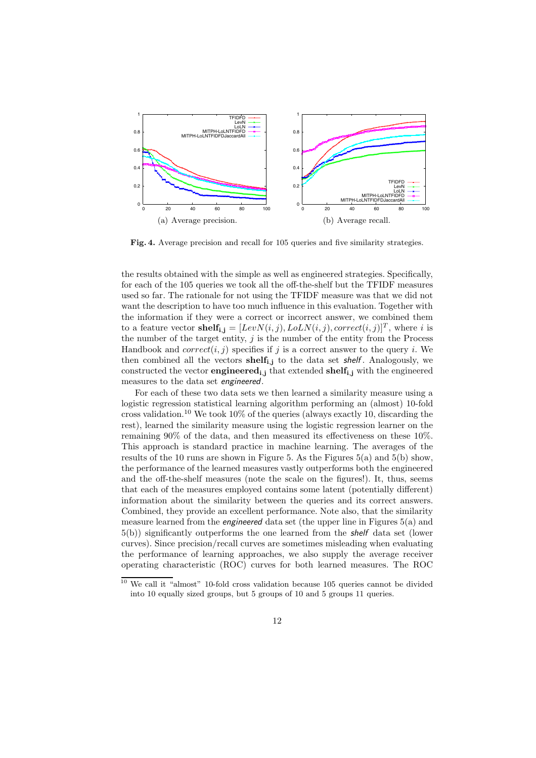

**Fig. 4.** Average precision and recall for 105 queries and five similarity strategies.

the results obtained with the simple as well as engineered strategies. Specifically, for each of the 105 queries we took all the off-the-shelf but the TFIDF measures used so far. The rationale for not using the TFIDF measure was that we did not want the description to have too much influence in this evaluation. Together with the information if they were a correct or incorrect answer, we combined them to a feature vector **shelf**<sub>i,j</sub> =  $[LevN(i, j), LoLN(i, j), correct(i, j)]^T$ , where *i* is the number of the target entity, *j* is the number of the entity from the Process Handbook and  $correct(i, j)$  specifies if *j* is a correct answer to the query *i*. We then combined all the vectors  $\textbf{shell}_{i,i}$  to the data set  $\textbf{shell}$ . Analogously, we constructed the vector **engineeredi***,***j** that extended **shelfi***,***j** with the engineered measures to the data set *engineered*.

For each of these two data sets we then learned a similarity measure using a logistic regression statistical learning algorithm performing an (almost) 10-fold cross validation.<sup>10</sup> We took 10% of the queries (always exactly 10, discarding the rest), learned the similarity measure using the logistic regression learner on the remaining 90% of the data, and then measured its effectiveness on these 10%. This approach is standard practice in machine learning. The averages of the results of the 10 runs are shown in Figure 5. As the Figures 5(a) and 5(b) show, the performance of the learned measures vastly outperforms both the engineered and the off-the-shelf measures (note the scale on the figures!). It, thus, seems that each of the measures employed contains some latent (potentially different) information about the similarity between the queries and its correct answers. Combined, they provide an excellent performance. Note also, that the similarity measure learned from the *engineered* data set (the upper line in Figures 5(a) and 5(b)) significantly outperforms the one learned from the *shelf* data set (lower curves). Since precision/recall curves are sometimes misleading when evaluating the performance of learning approaches, we also supply the average receiver operating characteristic (ROC) curves for both learned measures. The ROC

<sup>10</sup> We call it "almost" 10-fold cross validation because 105 queries cannot be divided into 10 equally sized groups, but 5 groups of 10 and 5 groups 11 queries.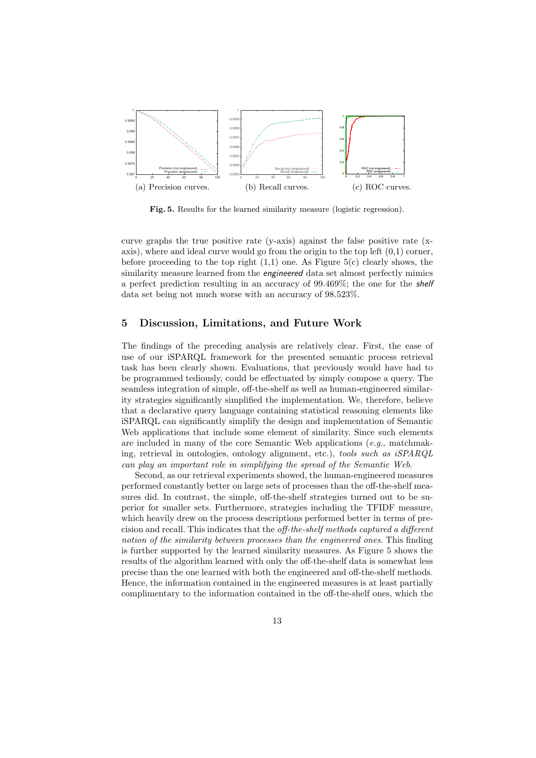

**Fig. 5.** Results for the learned similarity measure (logistic regression).

curve graphs the true positive rate (y-axis) against the false positive rate (xaxis), where and ideal curve would go from the origin to the top left (0,1) corner, before proceeding to the top right  $(1,1)$  one. As Figure  $5(c)$  clearly shows, the similarity measure learned from the *engineered* data set almost perfectly mimics a perfect prediction resulting in an accuracy of 99.469%; the one for the *shelf* data set being not much worse with an accuracy of 98.523%.

### **5 Discussion, Limitations, and Future Work**

The findings of the preceding analysis are relatively clear. First, the ease of use of our iSPARQL framework for the presented semantic process retrieval task has been clearly shown. Evaluations, that previously would have had to be programmed tediously, could be effectuated by simply compose a query. The seamless integration of simple, off-the-shelf as well as human-engineered similarity strategies significantly simplified the implementation. We, therefore, believe that a declarative query language containing statistical reasoning elements like iSPARQL can significantly simplify the design and implementation of Semantic Web applications that include some element of similarity. Since such elements are included in many of the core Semantic Web applications (*e.g.*, matchmaking, retrieval in ontologies, ontology alignment, etc.), *tools such as iSPARQL can play an important role in simplifying the spread of the Semantic Web*.

Second, as our retrieval experiments showed, the human-engineered measures performed constantly better on large sets of processes than the off-the-shelf measures did. In contrast, the simple, off-the-shelf strategies turned out to be superior for smaller sets. Furthermore, strategies including the TFIDF measure, which heavily drew on the process descriptions performed better in terms of precision and recall. This indicates that the *off-the-shelf methods captured a different notion of the similarity between processes than the engineered ones*. This finding is further supported by the learned similarity measures. As Figure 5 shows the results of the algorithm learned with only the off-the-shelf data is somewhat less precise than the one learned with both the engineered and off-the-shelf methods. Hence, the information contained in the engineered measures is at least partially complimentary to the information contained in the off-the-shelf ones, which the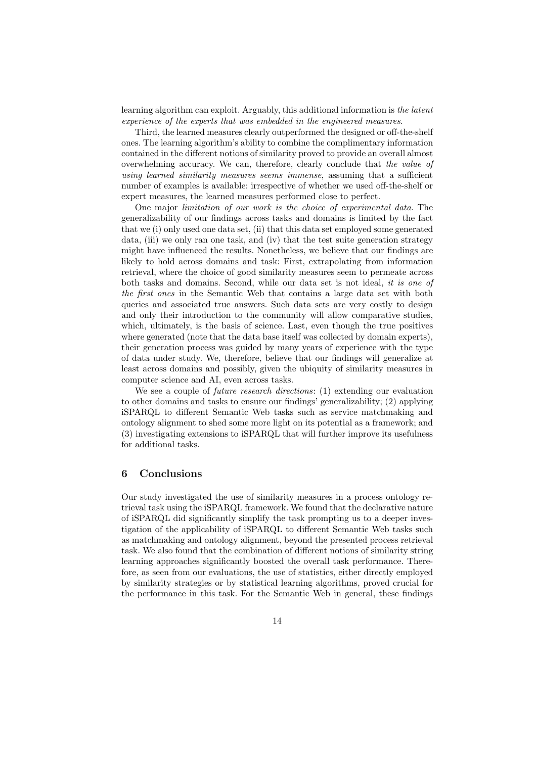learning algorithm can exploit. Arguably, this additional information is *the latent experience of the experts that was embedded in the engineered measures*.

Third, the learned measures clearly outperformed the designed or off-the-shelf ones. The learning algorithm's ability to combine the complimentary information contained in the different notions of similarity proved to provide an overall almost overwhelming accuracy. We can, therefore, clearly conclude that *the value of using learned similarity measures seems immense*, assuming that a sufficient number of examples is available: irrespective of whether we used off-the-shelf or expert measures, the learned measures performed close to perfect.

One major *limitation of our work is the choice of experimental data*. The generalizability of our findings across tasks and domains is limited by the fact that we (i) only used one data set, (ii) that this data set employed some generated data, (iii) we only ran one task, and (iv) that the test suite generation strategy might have influenced the results. Nonetheless, we believe that our findings are likely to hold across domains and task: First, extrapolating from information retrieval, where the choice of good similarity measures seem to permeate across both tasks and domains. Second, while our data set is not ideal, *it is one of the first ones* in the Semantic Web that contains a large data set with both queries and associated true answers. Such data sets are very costly to design and only their introduction to the community will allow comparative studies, which, ultimately, is the basis of science. Last, even though the true positives where generated (note that the data base itself was collected by domain experts), their generation process was guided by many years of experience with the type of data under study. We, therefore, believe that our findings will generalize at least across domains and possibly, given the ubiquity of similarity measures in computer science and AI, even across tasks.

We see a couple of *future research directions*: (1) extending our evaluation to other domains and tasks to ensure our findings' generalizability; (2) applying iSPARQL to different Semantic Web tasks such as service matchmaking and ontology alignment to shed some more light on its potential as a framework; and (3) investigating extensions to iSPARQL that will further improve its usefulness for additional tasks.

#### **6 Conclusions**

Our study investigated the use of similarity measures in a process ontology retrieval task using the iSPARQL framework. We found that the declarative nature of iSPARQL did significantly simplify the task prompting us to a deeper investigation of the applicability of iSPARQL to different Semantic Web tasks such as matchmaking and ontology alignment, beyond the presented process retrieval task. We also found that the combination of different notions of similarity string learning approaches significantly boosted the overall task performance. Therefore, as seen from our evaluations, the use of statistics, either directly employed by similarity strategies or by statistical learning algorithms, proved crucial for the performance in this task. For the Semantic Web in general, these findings